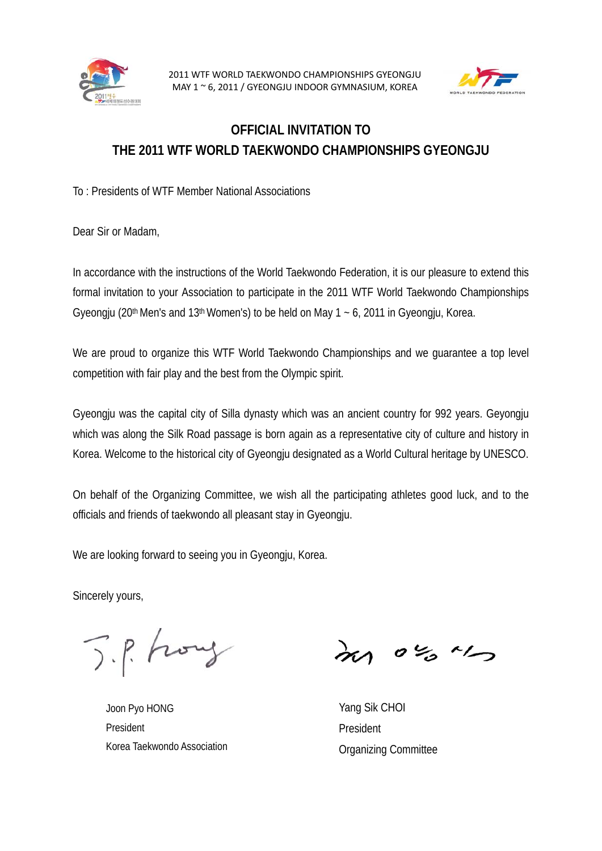



## **OFFICIAL INVITATION TO THE 2011 WTF WORLD TAEKWONDO CHAMPIONSHIPS GYEONGJU**

To : Presidents of WTF Member National Associations

Dear Sir or Madam,

In accordance with the instructions of the World Taekwondo Federation, it is our pleasure to extend this formal invitation to your Association to participate in the 2011 WTF World Taekwondo Championships Gyeongju (20<sup>th</sup> Men's and 13<sup>th</sup> Women's) to be held on May 1  $\sim$  6, 2011 in Gyeongju, Korea.

We are proud to organize this WTF World Taekwondo Championships and we guarantee a top level competition with fair play and the best from the Olympic spirit.

Gyeongju was the capital city of Silla dynasty which was an ancient country for 992 years. Geyongju which was along the Silk Road passage is born again as a representative city of culture and history in Korea. Welcome to the historical city of Gyeongju designated as a World Cultural heritage by UNESCO.

On behalf of the Organizing Committee, we wish all the participating athletes good luck, and to the officials and friends of taekwondo all pleasant stay in Gyeongju.

We are looking forward to seeing you in Gyeongju, Korea.

Sincerely yours,

J.P. Frong

Joon Pyo HONG President Korea Taekwondo Association

more "

Yang Sik CHOI President Organizing Committee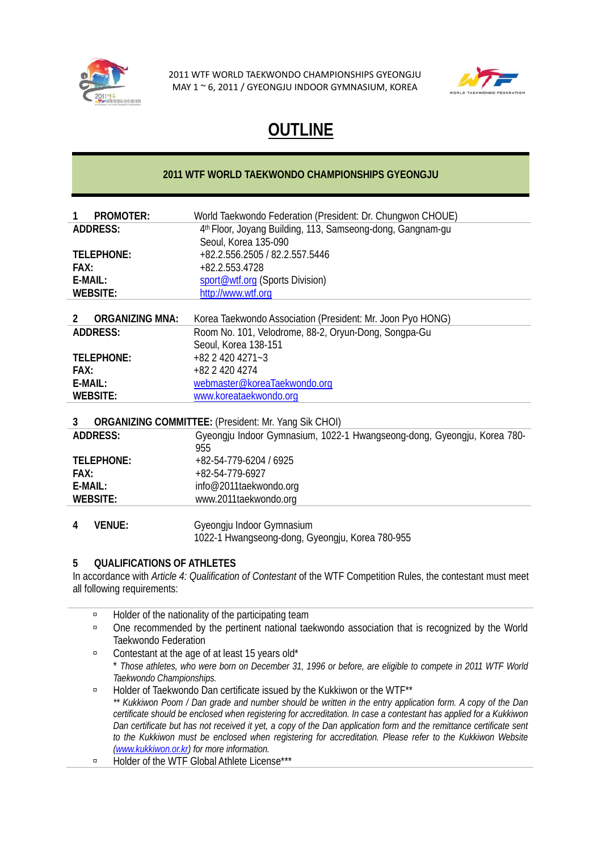



# **OUTLINE**

#### **2011 WTF WORLD TAEKWONDO CHAMPIONSHIPS GYEONGJU**

| <b>PROMOTER:</b><br>1       | World Taekwondo Federation (President: Dr. Chungwon CHOUE)              |  |  |  |  |  |
|-----------------------------|-------------------------------------------------------------------------|--|--|--|--|--|
| <b>ADDRESS:</b>             | 4 <sup>th</sup> Floor, Joyang Building, 113, Samseong-dong, Gangnam-gu  |  |  |  |  |  |
|                             | Seoul, Korea 135-090                                                    |  |  |  |  |  |
| TELEPHONE:                  | +82.2.556.2505 / 82.2.557.5446                                          |  |  |  |  |  |
| FAX:                        | +82.2.553.4728                                                          |  |  |  |  |  |
| $F-MAll:$                   | sport@wtf.org (Sports Division)                                         |  |  |  |  |  |
| <b>WEBSITE:</b>             | http://www.wtf.org                                                      |  |  |  |  |  |
| <b>ORGANIZING MNA:</b><br>2 | Korea Taekwondo Association (President: Mr. Joon Pyo HONG)              |  |  |  |  |  |
| <b>ADDRESS:</b>             |                                                                         |  |  |  |  |  |
|                             | Room No. 101, Velodrome, 88-2, Oryun-Dong, Songpa-Gu                    |  |  |  |  |  |
|                             | Seoul, Korea 138-151<br>$+82$ 2 420 4271 $-3$                           |  |  |  |  |  |
| TELEPHONE:                  |                                                                         |  |  |  |  |  |
| FAX:                        | +82 2 420 4274                                                          |  |  |  |  |  |
| $E$ -MAIL:                  | webmaster@koreaTaekwondo.org                                            |  |  |  |  |  |
| <b>WEBSITE:</b>             | www.koreataekwondo.org                                                  |  |  |  |  |  |
| 3                           | <b>ORGANIZING COMMITTEE:</b> (President: Mr. Yang Sik CHOI)             |  |  |  |  |  |
| <b>ADDRESS:</b>             | Gyeongju Indoor Gymnasium, 1022-1 Hwangseong-dong, Gyeongju, Korea 780- |  |  |  |  |  |
|                             | 955                                                                     |  |  |  |  |  |
| <b>TELEPHONE:</b>           | +82-54-779-6204 / 6925                                                  |  |  |  |  |  |
| FAX:                        | +82-54-779-6927                                                         |  |  |  |  |  |
| E-MAIL:                     | info@2011taekwondo.org                                                  |  |  |  |  |  |
| <b>WEBSITE:</b>             | www.2011taekwondo.org                                                   |  |  |  |  |  |
|                             |                                                                         |  |  |  |  |  |
| <b>VENUE:</b><br>4          | Gyeongju Indoor Gymnasium                                               |  |  |  |  |  |
|                             | 1022-1 Hwangseong-dong, Gyeongju, Korea 780-955                         |  |  |  |  |  |
|                             |                                                                         |  |  |  |  |  |

#### **5 QUALIFICATIONS OF ATHLETES**

In accordance with *Article 4: Qualification of Contestant* of the WTF Competition Rules, the contestant must meet all following requirements:

- **Example 2** Holder of the nationality of the participating team
- à One recommended by the pertinent national taekwondo association that is recognized by the World Taekwondo Federation
- à Contestant at the age of at least 15 years old\* \* *Those athletes, who were born on December 31, 1996 or before, are eligible to compete in 2011 WTF World Taekwondo Championships.*
- à Holder of Taekwondo Dan certificate issued by the Kukkiwon or the WTF\*\* *\*\* Kukkiwon Poom / Dan grade and number should be written in the entry application form. A copy of the Dan certificate should be enclosed when registering for accreditation. In case a contestant has applied for a Kukkiwon Dan certificate but has not received it yet, a copy of the Dan application form and the remittance certificate sent*  to the Kukkiwon must be enclosed when registering for accreditation. Please refer to the Kukkiwon Website *(www.kukkiwon.or.kr) for more information.*
- à Holder of the WTF Global Athlete License\*\*\*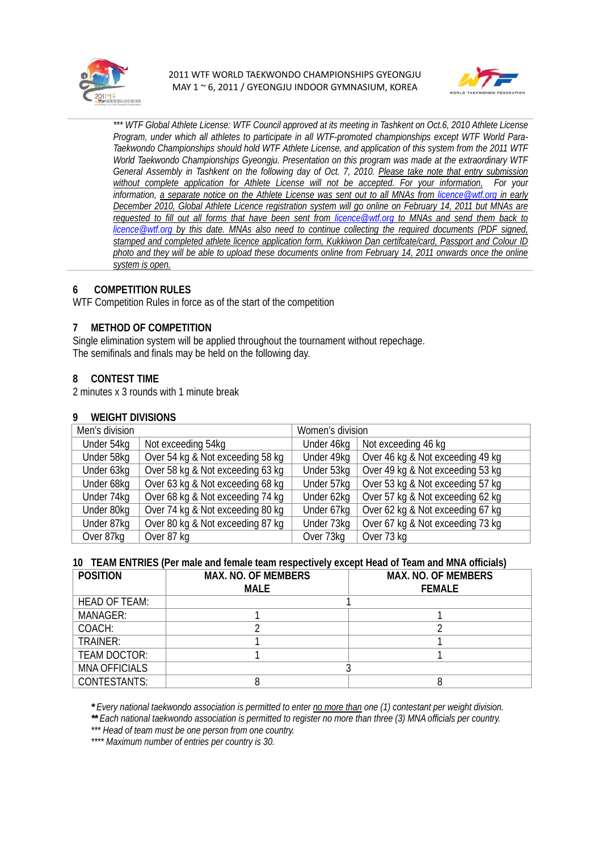



*\*\*\* WTF Global Athlete License: WTF Council approved at its meeting in Tashkent on Oct.6, 2010 Athlete License Program, under which all athletes to participate in all WTF-promoted championships except WTF World Para-Taekwondo Championships should hold WTF Athlete License, and application of this system from the 2011 WTF World Taekwondo Championships Gyeongju. Presentation on this program was made at the extraordinary WTF General Assembly in Tashkent on the following day of Oct. 7, 2010. Please take note that entry submission without complete application for Athlete License will not be accepted. For your information, For your information, a separate notice on the Athlete License was sent out to all MNAs from licence@wtf.org in early December 2010, Global Athlete Licence registration system will go online on February 14, 2011 but MNAs are requested to fill out all forms that have been sent from licence@wtf.org to MNAs and send them back to licence@wtf.org by this date. MNAs also need to continue collecting the required documents (PDF signed, stamped and completed athlete licence application form, Kukkiwon Dan certifcate/card, Passport and Colour ID photo and they will be able to upload these documents online from February 14, 2011 onwards once the online system is open.*

#### **6 COMPETITION RULES**

WTF Competition Rules in force as of the start of the competition

#### **7 METHOD OF COMPETITION**

Single elimination system will be applied throughout the tournament without repechage. The semifinals and finals may be held on the following day.

#### **8 CONTEST TIME**

2 minutes x 3 rounds with 1 minute break

#### **9 WEIGHT DIVISIONS**

| Men's division |                                  | Women's division |                                  |  |
|----------------|----------------------------------|------------------|----------------------------------|--|
| Under 54kg     | Not exceeding 54kg               | Under 46kg       | Not exceeding 46 kg              |  |
| Under 58kg     | Over 54 kg & Not exceeding 58 kg | Under 49kg       | Over 46 kg & Not exceeding 49 kg |  |
| Under 63kg     | Over 58 kg & Not exceeding 63 kg | Under 53kg       | Over 49 kg & Not exceeding 53 kg |  |
| Under 68kg     | Over 63 kg & Not exceeding 68 kg | Under 57kg       | Over 53 kg & Not exceeding 57 kg |  |
| Under 74kg     | Over 68 kg & Not exceeding 74 kg | Under 62kg       | Over 57 kg & Not exceeding 62 kg |  |
| Under 80kg     | Over 74 kg & Not exceeding 80 kg | Under 67kg       | Over 62 kg & Not exceeding 67 kg |  |
| Under 87kg     | Over 80 kg & Not exceeding 87 kg | Under 73kg       | Over 67 kg & Not exceeding 73 kg |  |
| Over 87kg      | Over 87 kg                       | Over 73kg        | Over 73 kg                       |  |

#### **10 TEAM ENTRIES (Per male and female team respectively except Head of Team and MNA officials)**

| <b>POSITION</b>      | <b>MAX. NO. OF MEMBERS</b> | <b>MAX. NO. OF MEMBERS</b> |  |  |
|----------------------|----------------------------|----------------------------|--|--|
|                      | <b>MALE</b>                | <b>FFMALE</b>              |  |  |
| <b>HEAD OF TEAM:</b> |                            |                            |  |  |
| <b>MANAGER:</b>      |                            |                            |  |  |
| COACH:               |                            |                            |  |  |
| <b>TRAINER:</b>      |                            |                            |  |  |
| <b>TEAM DOCTOR:</b>  |                            |                            |  |  |
| <b>MNA OFFICIALS</b> |                            |                            |  |  |
| <b>CONTESTANTS:</b>  |                            |                            |  |  |

*\* Every national taekwondo association is permitted to enter no more than one (1) contestant per weight division.* 

*\*\* Each national taekwondo association is permitted to register no more than three (3) MNA officials per country.* 

*\*\*\* Head of team must be one person from one country.* 

*\*\*\*\* Maximum number of entries per country is 30.*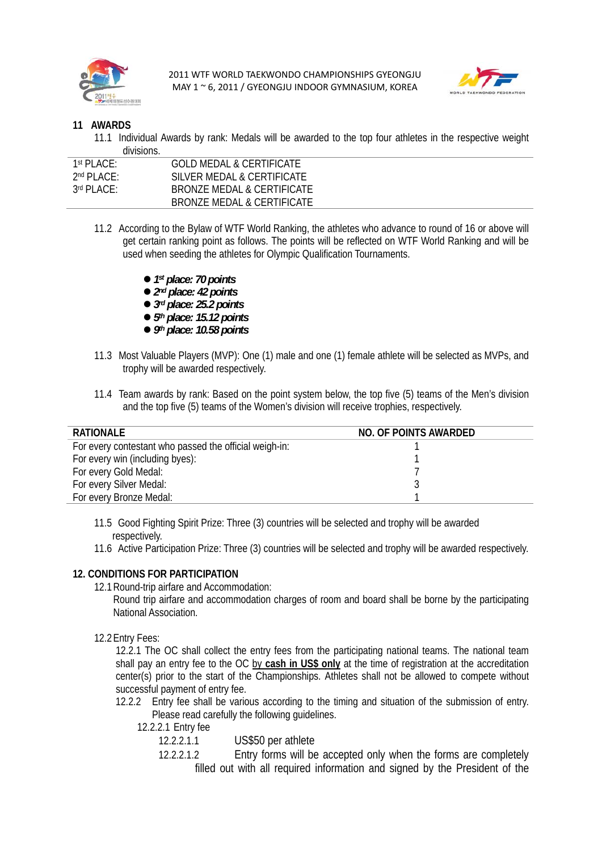



#### **11 AWARDS**

11.1 Individual Awards by rank: Medals will be awarded to the top four athletes in the respective weight divisions.

| $1st$ PI ACF:<br>GOLD MEDAL & CERTIFICATE      |  |
|------------------------------------------------|--|
| $2^{nd}$ PI ACF:<br>SILVER MEDAL & CERTIFICATE |  |
| $3rd$ PI ACF:<br>BRONZE MEDAL & CERTIFICATE    |  |
| BRONZE MEDAL & CERTIFICATE                     |  |

- 11.2 According to the Bylaw of WTF World Ranking, the athletes who advance to round of 16 or above will get certain ranking point as follows. The points will be reflected on WTF World Ranking and will be used when seeding the athletes for Olympic Qualification Tournaments.
	- 1<sup>st</sup> place: 70 points
	- $2<sup>nd</sup>$  place: 42 points
	- $3<sup>rd</sup>$  place: 25.2 points
	- $5<sup>th</sup>$  place: 15.12 points
	- z *9th place: 10.58 points*
- 11.3 Most Valuable Players (MVP): One (1) male and one (1) female athlete will be selected as MVPs, and trophy will be awarded respectively.
- 11.4 Team awards by rank: Based on the point system below, the top five (5) teams of the Men's division and the top five (5) teams of the Women's division will receive trophies, respectively.

| <b>RATIONALE</b>                                       | NO. OF POINTS AWARDED |
|--------------------------------------------------------|-----------------------|
| For every contestant who passed the official weigh-in: |                       |
| For every win (including byes):                        |                       |
| For every Gold Medal:                                  |                       |
| For every Silver Medal:                                |                       |
| For every Bronze Medal:                                |                       |

- 11.5 Good Fighting Spirit Prize: Three (3) countries will be selected and trophy will be awarded respectively.
- 11.6 Active Participation Prize: Three (3) countries will be selected and trophy will be awarded respectively.

#### **12. CONDITIONS FOR PARTICIPATION**

- 12.1Round-trip airfare and Accommodation:
	- Round trip airfare and accommodation charges of room and board shall be borne by the participating National Association.
- 12.2Entry Fees:

12.2.1 The OC shall collect the entry fees from the participating national teams. The national team shall pay an entry fee to the OC by **cash in US\$ only** at the time of registration at the accreditation center(s) prior to the start of the Championships. Athletes shall not be allowed to compete without successful payment of entry fee.

- 12.2.2 Entry fee shall be various according to the timing and situation of the submission of entry. Please read carefully the following guidelines.
	- 12.2.2.1 Entry fee
		- 12.2.2.1.1 US\$50 per athlete
		- 12.2.2.1.2 Entry forms will be accepted only when the forms are completely filled out with all required information and signed by the President of the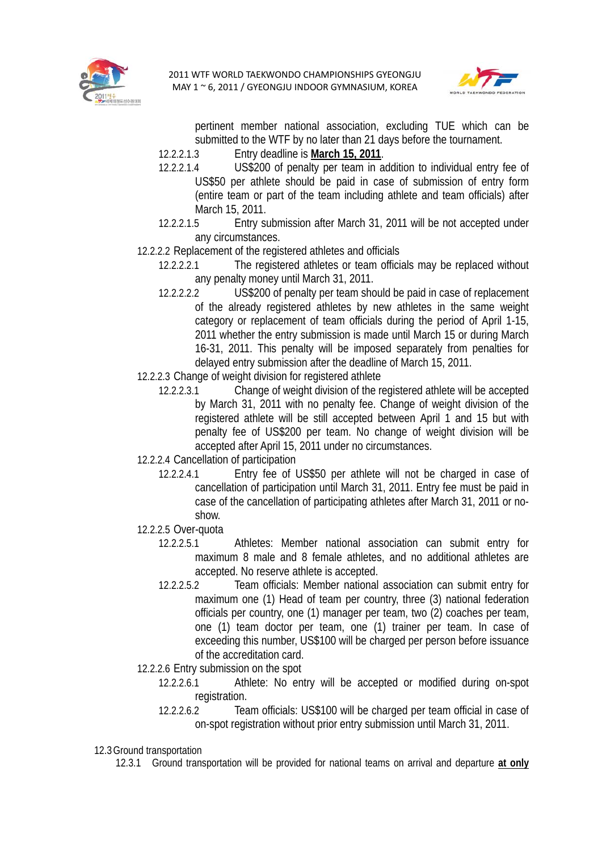



pertinent member national association, excluding TUE which can be submitted to the WTF by no later than 21 days before the tournament.

- 12.2.2.1.3 Entry deadline is **March 15, 2011**.
- 12.2.2.1.4 US\$200 of penalty per team in addition to individual entry fee of US\$50 per athlete should be paid in case of submission of entry form (entire team or part of the team including athlete and team officials) after March 15, 2011.
- 12.2.2.1.5 Entry submission after March 31, 2011 will be not accepted under any circumstances.
- 12.2.2.2 Replacement of the registered athletes and officials
	- 12.2.2.2.1 The registered athletes or team officials may be replaced without any penalty money until March 31, 2011.
	- 12.2.2.2.2 US\$200 of penalty per team should be paid in case of replacement of the already registered athletes by new athletes in the same weight category or replacement of team officials during the period of April 1-15, 2011 whether the entry submission is made until March 15 or during March 16-31, 2011. This penalty will be imposed separately from penalties for delayed entry submission after the deadline of March 15, 2011.
- 12.2.2.3 Change of weight division for registered athlete
	- 12.2.2.3.1 Change of weight division of the registered athlete will be accepted by March 31, 2011 with no penalty fee. Change of weight division of the registered athlete will be still accepted between April 1 and 15 but with penalty fee of US\$200 per team. No change of weight division will be accepted after April 15, 2011 under no circumstances.
- 12.2.2.4 Cancellation of participation
	- 12.2.2.4.1 Entry fee of US\$50 per athlete will not be charged in case of cancellation of participation until March 31, 2011. Entry fee must be paid in case of the cancellation of participating athletes after March 31, 2011 or noshow.
- 12.2.2.5 Over-quota
	- 12.2.2.5.1 Athletes: Member national association can submit entry for maximum 8 male and 8 female athletes, and no additional athletes are accepted. No reserve athlete is accepted.
	- 12.2.2.5.2 Team officials: Member national association can submit entry for maximum one (1) Head of team per country, three (3) national federation officials per country, one (1) manager per team, two (2) coaches per team, one (1) team doctor per team, one (1) trainer per team. In case of exceeding this number, US\$100 will be charged per person before issuance of the accreditation card.
- 12.2.2.6 Entry submission on the spot
	- 12.2.2.6.1 Athlete: No entry will be accepted or modified during on-spot registration.
	- 12.2.2.6.2 Team officials: US\$100 will be charged per team official in case of on-spot registration without prior entry submission until March 31, 2011.
- 12.3Ground transportation
	- 12.3.1 Ground transportation will be provided for national teams on arrival and departure **at only**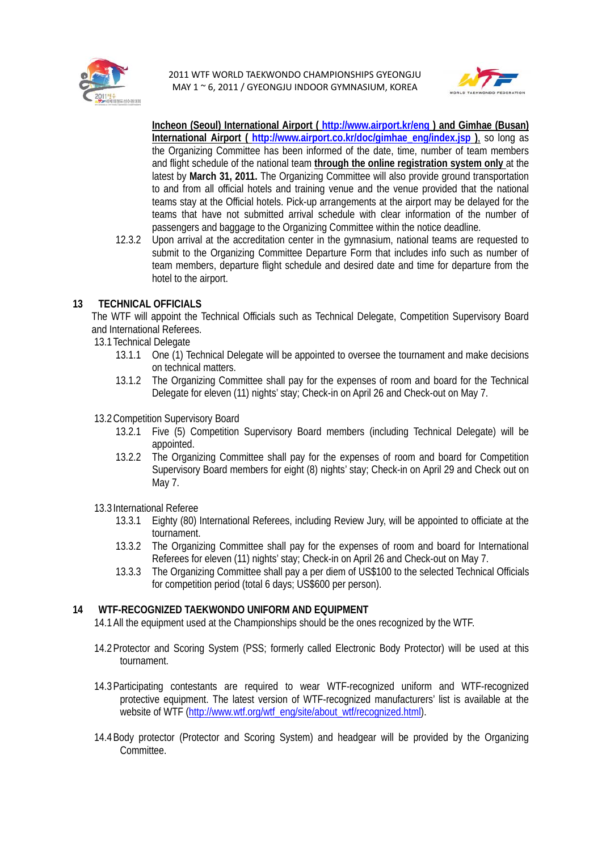



**Incheon (Seoul) International Airport ( http://www.airport.kr/eng ) and Gimhae (Busan) International Airport ( http://www.airport.co.kr/doc/gimhae\_eng/index.jsp )**, so long as the Organizing Committee has been informed of the date, time, number of team members and flight schedule of the national team **through the online registration system only** at the latest by **March 31, 2011.** The Organizing Committee will also provide ground transportation to and from all official hotels and training venue and the venue provided that the national teams stay at the Official hotels. Pick-up arrangements at the airport may be delayed for the teams that have not submitted arrival schedule with clear information of the number of passengers and baggage to the Organizing Committee within the notice deadline.

12.3.2 Upon arrival at the accreditation center in the gymnasium, national teams are requested to submit to the Organizing Committee Departure Form that includes info such as number of team members, departure flight schedule and desired date and time for departure from the hotel to the airport.

#### **13 TECHNICAL OFFICIALS**

The WTF will appoint the Technical Officials such as Technical Delegate, Competition Supervisory Board and International Referees.

- 13.1Technical Delegate
	- 13.1.1 One (1) Technical Delegate will be appointed to oversee the tournament and make decisions on technical matters.
	- 13.1.2 The Organizing Committee shall pay for the expenses of room and board for the Technical Delegate for eleven (11) nights' stay; Check-in on April 26 and Check-out on May 7.
- 13.2Competition Supervisory Board
	- 13.2.1 Five (5) Competition Supervisory Board members (including Technical Delegate) will be appointed.
	- 13.2.2 The Organizing Committee shall pay for the expenses of room and board for Competition Supervisory Board members for eight (8) nights' stay; Check-in on April 29 and Check out on May 7.
- 13.3International Referee
	- 13.3.1 Eighty (80) International Referees, including Review Jury, will be appointed to officiate at the tournament.
	- 13.3.2 The Organizing Committee shall pay for the expenses of room and board for International Referees for eleven (11) nights' stay; Check-in on April 26 and Check-out on May 7.
	- 13.3.3 The Organizing Committee shall pay a per diem of US\$100 to the selected Technical Officials for competition period (total 6 days; US\$600 per person).

#### **14 WTF-RECOGNIZED TAEKWONDO UNIFORM AND EQUIPMENT**

14.1All the equipment used at the Championships should be the ones recognized by the WTF.

- 14.2Protector and Scoring System (PSS; formerly called Electronic Body Protector) will be used at this tournament.
- 14.3Participating contestants are required to wear WTF-recognized uniform and WTF-recognized protective equipment. The latest version of WTF-recognized manufacturers' list is available at the website of WTF (http://www.wtf.org/wtf\_eng/site/about\_wtf/recognized.html).
- 14.4Body protector (Protector and Scoring System) and headgear will be provided by the Organizing Committee.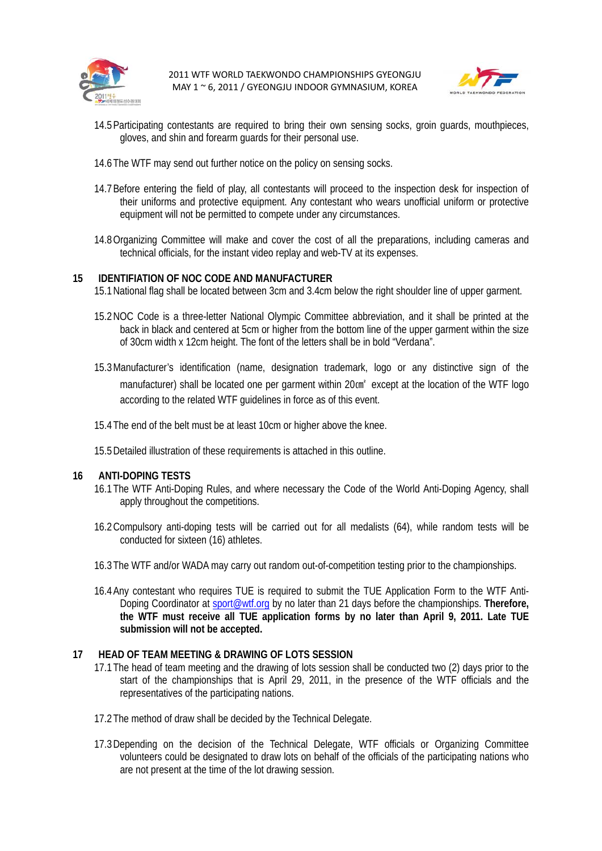



- 14.5Participating contestants are required to bring their own sensing socks, groin guards, mouthpieces, gloves, and shin and forearm guards for their personal use.
- 14.6The WTF may send out further notice on the policy on sensing socks.
- 14.7Before entering the field of play, all contestants will proceed to the inspection desk for inspection of their uniforms and protective equipment. Any contestant who wears unofficial uniform or protective equipment will not be permitted to compete under any circumstances.
- 14.8Organizing Committee will make and cover the cost of all the preparations, including cameras and technical officials, for the instant video replay and web-TV at its expenses.

#### **15 IDENTIFIATION OF NOC CODE AND MANUFACTURER**

- 15.1National flag shall be located between 3cm and 3.4cm below the right shoulder line of upper garment.
- 15.2NOC Code is a three-letter National Olympic Committee abbreviation, and it shall be printed at the back in black and centered at 5cm or higher from the bottom line of the upper garment within the size of 30cm width x 12cm height. The font of the letters shall be in bold "Verdana".
- 15.3Manufacturer's identification (name, designation trademark, logo or any distinctive sign of the manufacturer) shall be located one per garment within 20 cm<sup>2</sup> except at the location of the WTF logo according to the related WTF guidelines in force as of this event.
- 15.4The end of the belt must be at least 10cm or higher above the knee.
- 15.5Detailed illustration of these requirements is attached in this outline.

#### **16 ANTI-DOPING TESTS**

- 16.1The WTF Anti-Doping Rules, and where necessary the Code of the World Anti-Doping Agency, shall apply throughout the competitions.
- 16.2Compulsory anti-doping tests will be carried out for all medalists (64), while random tests will be conducted for sixteen (16) athletes.
- 16.3The WTF and/or WADA may carry out random out-of-competition testing prior to the championships.
- 16.4Any contestant who requires TUE is required to submit the TUE Application Form to the WTF Anti-Doping Coordinator at sport@wtf.org by no later than 21 days before the championships. **Therefore, the WTF must receive all TUE application forms by no later than April 9, 2011. Late TUE submission will not be accepted.**

#### **17 HEAD OF TEAM MEETING & DRAWING OF LOTS SESSION**

- 17.1The head of team meeting and the drawing of lots session shall be conducted two (2) days prior to the start of the championships that is April 29, 2011, in the presence of the WTF officials and the representatives of the participating nations.
- 17.2The method of draw shall be decided by the Technical Delegate.
- 17.3Depending on the decision of the Technical Delegate, WTF officials or Organizing Committee volunteers could be designated to draw lots on behalf of the officials of the participating nations who are not present at the time of the lot drawing session.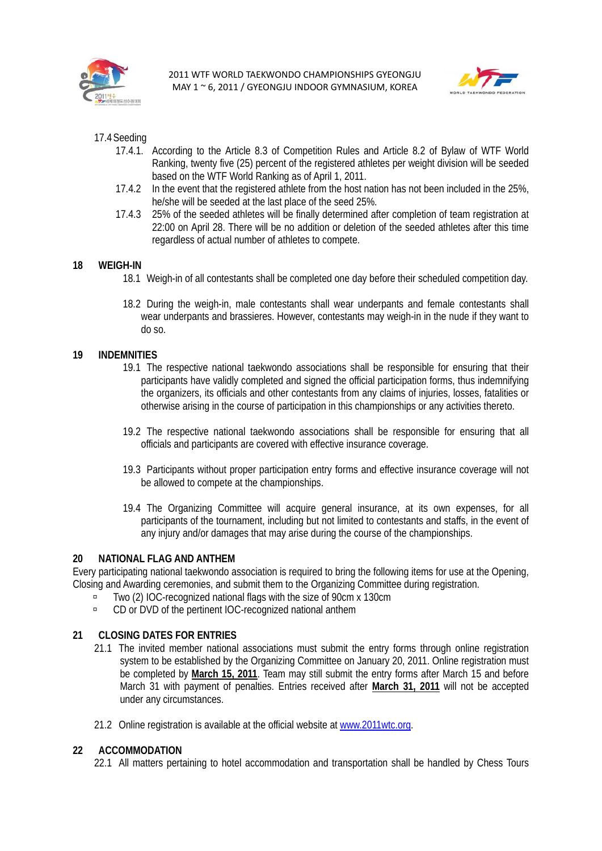



- 17.4Seeding
	- 17.4.1. According to the Article 8.3 of Competition Rules and Article 8.2 of Bylaw of WTF World Ranking, twenty five (25) percent of the registered athletes per weight division will be seeded based on the WTF World Ranking as of April 1, 2011.
	- 17.4.2 In the event that the registered athlete from the host nation has not been included in the 25%, he/she will be seeded at the last place of the seed 25%.
	- 17.4.3 25% of the seeded athletes will be finally determined after completion of team registration at 22:00 on April 28. There will be no addition or deletion of the seeded athletes after this time regardless of actual number of athletes to compete.

#### **18 WEIGH-IN**

- 18.1 Weigh-in of all contestants shall be completed one day before their scheduled competition day.
- 18.2 During the weigh-in, male contestants shall wear underpants and female contestants shall wear underpants and brassieres. However, contestants may weigh-in in the nude if they want to do so.

#### **19 INDEMNITIES**

- 19.1 The respective national taekwondo associations shall be responsible for ensuring that their participants have validly completed and signed the official participation forms, thus indemnifying the organizers, its officials and other contestants from any claims of injuries, losses, fatalities or otherwise arising in the course of participation in this championships or any activities thereto.
- 19.2 The respective national taekwondo associations shall be responsible for ensuring that all officials and participants are covered with effective insurance coverage.
- 19.3 Participants without proper participation entry forms and effective insurance coverage will not be allowed to compete at the championships.
- 19.4 The Organizing Committee will acquire general insurance, at its own expenses, for all participants of the tournament, including but not limited to contestants and staffs, in the event of any injury and/or damages that may arise during the course of the championships.

#### **20 NATIONAL FLAG AND ANTHEM**

Every participating national taekwondo association is required to bring the following items for use at the Opening, Closing and Awarding ceremonies, and submit them to the Organizing Committee during registration.

- à Two (2) IOC-recognized national flags with the size of 90cm x 130cm
- à CD or DVD of the pertinent IOC-recognized national anthem

#### **21 CLOSING DATES FOR ENTRIES**

- 21.1 The invited member national associations must submit the entry forms through online registration system to be established by the Organizing Committee on January 20, 2011. Online registration must be completed by **March 15, 2011**. Team may still submit the entry forms after March 15 and before March 31 with payment of penalties. Entries received after **March 31, 2011** will not be accepted under any circumstances.
- 21.2 Online registration is available at the official website at www.2011wtc.org.

#### **22 ACCOMMODATION**

22.1 All matters pertaining to hotel accommodation and transportation shall be handled by Chess Tours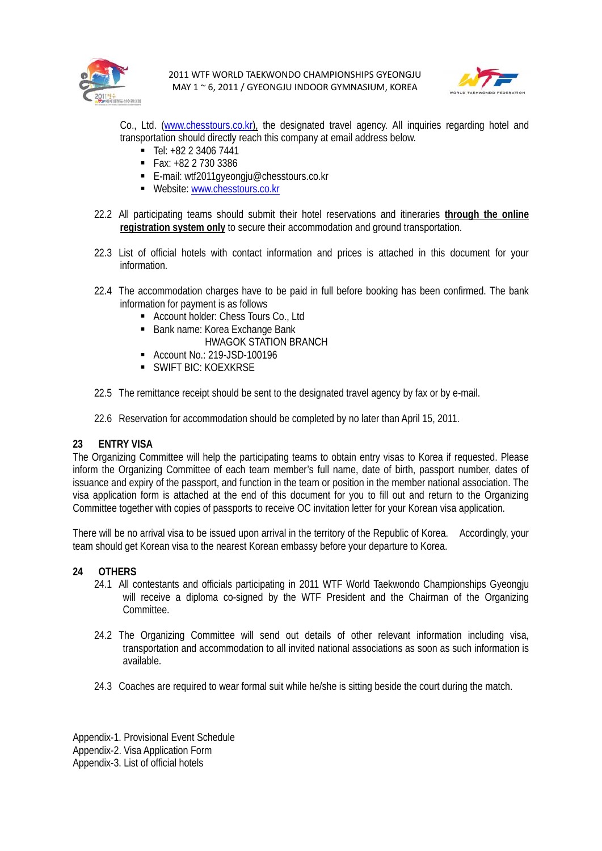



Co., Ltd. (www.chesstours.co.kr), the designated travel agency. All inquiries regarding hotel and transportation should directly reach this company at email address below.

- $\blacksquare$  Tel:  $+82$  2 3406 7441
- $\blacksquare$  Fax: +82 2 730 3386
- E-mail: wtf2011gyeongju@chesstours.co.kr
- Website: www.chesstours.co.kr
- 22.2 All participating teams should submit their hotel reservations and itineraries **through the online registration system only** to secure their accommodation and ground transportation.
- 22.3 List of official hotels with contact information and prices is attached in this document for your information.
- 22.4 The accommodation charges have to be paid in full before booking has been confirmed. The bank information for payment is as follows
	- Account holder: Chess Tours Co., Ltd
	- Bank name: Korea Exchange Bank
		- HWAGOK STATION BRANCH
	- Account No.: 219-JSD-100196
	- **SWIFT BIC: KOEXKRSE**
- 22.5 The remittance receipt should be sent to the designated travel agency by fax or by e-mail.
- 22.6 Reservation for accommodation should be completed by no later than April 15, 2011.

#### **23 ENTRY VISA**

The Organizing Committee will help the participating teams to obtain entry visas to Korea if requested. Please inform the Organizing Committee of each team member's full name, date of birth, passport number, dates of issuance and expiry of the passport, and function in the team or position in the member national association. The visa application form is attached at the end of this document for you to fill out and return to the Organizing Committee together with copies of passports to receive OC invitation letter for your Korean visa application.

There will be no arrival visa to be issued upon arrival in the territory of the Republic of Korea. Accordingly, your team should get Korean visa to the nearest Korean embassy before your departure to Korea.

#### **24 OTHERS**

- 24.1 All contestants and officials participating in 2011 WTF World Taekwondo Championships Gyeongju will receive a diploma co-signed by the WTF President and the Chairman of the Organizing Committee.
- 24.2 The Organizing Committee will send out details of other relevant information including visa, transportation and accommodation to all invited national associations as soon as such information is available.
- 24.3 Coaches are required to wear formal suit while he/she is sitting beside the court during the match.

Appendix-1. Provisional Event Schedule Appendix-2. Visa Application Form Appendix-3. List of official hotels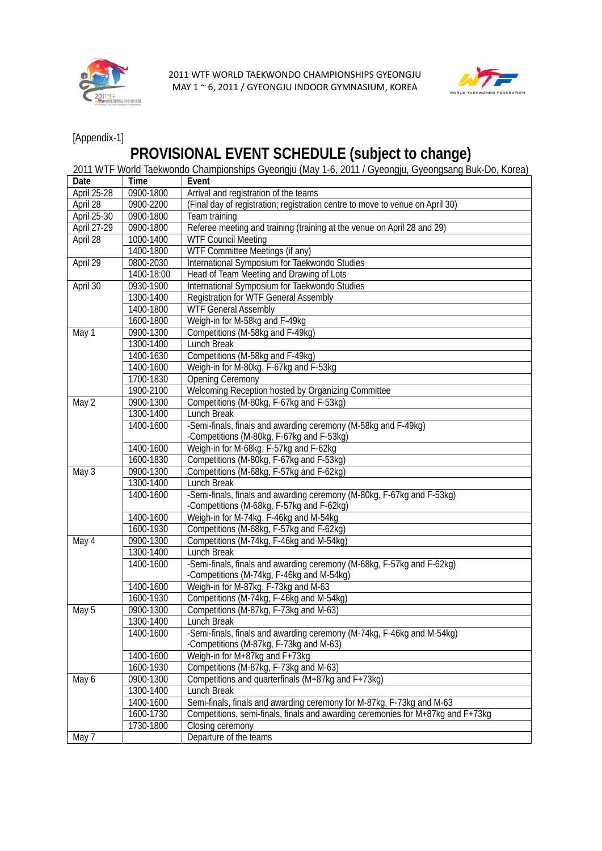



[Appendix-1]

# **PROVISIONAL EVENT SCHEDULE (subject to change)**

|                    |             | 2011 WTF World Taekwondo Championships Gyeongju (May 1-6, 2011 / Gyeongju, Gyeongsang Buk-Do, Korea) |  |  |  |  |  |
|--------------------|-------------|------------------------------------------------------------------------------------------------------|--|--|--|--|--|
| Date               | <b>Time</b> | Event                                                                                                |  |  |  |  |  |
| April 25-28        | 0900-1800   | Arrival and registration of the teams                                                                |  |  |  |  |  |
| April 28           | 0900-2200   | (Final day of registration; registration centre to move to venue on April 30)                        |  |  |  |  |  |
| April 25-30        | 0900-1800   | Team training                                                                                        |  |  |  |  |  |
| <b>April 27-29</b> | 0900-1800   | Referee meeting and training (training at the venue on April 28 and 29)                              |  |  |  |  |  |
| April 28           | 1000-1400   | <b>WTF Council Meeting</b>                                                                           |  |  |  |  |  |
|                    | 1400-1800   | WTF Committee Meetings (if any)                                                                      |  |  |  |  |  |
| April 29           | 0800-2030   | International Symposium for Taekwondo Studies                                                        |  |  |  |  |  |
|                    | 1400-18:00  | Head of Team Meeting and Drawing of Lots                                                             |  |  |  |  |  |
| April 30           | 0930-1900   | International Symposium for Taekwondo Studies                                                        |  |  |  |  |  |
|                    | 1300-1400   | Registration for WTF General Assembly                                                                |  |  |  |  |  |
|                    | 1400-1800   | <b>WTF General Assembly</b>                                                                          |  |  |  |  |  |
|                    | 1600-1800   | Weigh-in for M-58kg and F-49kg                                                                       |  |  |  |  |  |
| May 1              | 0900-1300   | Competitions (M-58kg and F-49kg)                                                                     |  |  |  |  |  |
|                    | 1300-1400   | Lunch Break                                                                                          |  |  |  |  |  |
|                    | 1400-1630   | Competitions (M-58kg and F-49kg)                                                                     |  |  |  |  |  |
|                    | 1400-1600   | Weigh-in for M-80kg, F-67kg and F-53kg                                                               |  |  |  |  |  |
|                    | 1700-1830   | <b>Opening Ceremony</b>                                                                              |  |  |  |  |  |
|                    | 1900-2100   | Welcoming Reception hosted by Organizing Committee                                                   |  |  |  |  |  |
| May 2              | 0900-1300   | Competitions (M-80kg, F-67kg and F-53kg)                                                             |  |  |  |  |  |
|                    | 1300-1400   | <b>Lunch Break</b>                                                                                   |  |  |  |  |  |
|                    | 1400-1600   | -Semi-finals, finals and awarding ceremony (M-58kg and F-49kg)                                       |  |  |  |  |  |
|                    |             | -Competitions (M-80kg, F-67kg and F-53kg)                                                            |  |  |  |  |  |
|                    | 1400-1600   | Weigh-in for M-68kg, F-57kg and F-62kg                                                               |  |  |  |  |  |
|                    | 1600-1830   | Competitions (M-80kg, F-67kg and F-53kg)                                                             |  |  |  |  |  |
| May 3              | 0900-1300   | Competitions (M-68kg, F-57kg and F-62kg)                                                             |  |  |  |  |  |
|                    | 1300-1400   | <b>Lunch Break</b>                                                                                   |  |  |  |  |  |
|                    | 1400-1600   | -Semi-finals, finals and awarding ceremony (M-80kg, F-67kg and F-53kg)                               |  |  |  |  |  |
|                    |             | -Competitions (M-68kg, F-57kg and F-62kg)                                                            |  |  |  |  |  |
|                    | 1400-1600   | Weigh-in for M-74kg, F-46kg and M-54kg                                                               |  |  |  |  |  |
|                    | 1600-1930   | Competitions (M-68kg, F-57kg and F-62kg)                                                             |  |  |  |  |  |
| May 4              | 0900-1300   | Competitions (M-74kg, F-46kg and M-54kg)                                                             |  |  |  |  |  |
|                    | 1300-1400   | <b>Lunch Break</b>                                                                                   |  |  |  |  |  |
|                    | 1400-1600   | -Semi-finals, finals and awarding ceremony (M-68kg, F-57kg and F-62kg)                               |  |  |  |  |  |
|                    |             | -Competitions (M-74kg, F-46kg and M-54kg)                                                            |  |  |  |  |  |
|                    | 1400-1600   | Weigh-in for M-87kg, F-73kg and M-63                                                                 |  |  |  |  |  |
|                    | 1600-1930   | Competitions (M-74kg, F-46kg and M-54kg)                                                             |  |  |  |  |  |
| May 5              | 0900-1300   | Competitions (M-87kg, F-73kg and M-63)                                                               |  |  |  |  |  |
|                    | 1300-1400   | Lunch Break                                                                                          |  |  |  |  |  |
|                    | 1400-1600   | -Semi-finals, finals and awarding ceremony (M-74kg, F-46kg and M-54kg)                               |  |  |  |  |  |
|                    |             | -Competitions (M-87kg, F-73kg and M-63)                                                              |  |  |  |  |  |
|                    | 1400-1600   | Weigh-in for M+87kg and F+73kg                                                                       |  |  |  |  |  |
|                    | 1600-1930   | Competitions (M-87kg, F-73kg and M-63)                                                               |  |  |  |  |  |
| May 6              | 0900-1300   | Competitions and quarterfinals (M+87kg and F+73kg)                                                   |  |  |  |  |  |
|                    | 1300-1400   | Lunch Break                                                                                          |  |  |  |  |  |
|                    | 1400-1600   | Semi-finals, finals and awarding ceremony for M-87kg, F-73kg and M-63                                |  |  |  |  |  |
|                    | 1600-1730   | Competitions, semi-finals, finals and awarding ceremonies for M+87kg and F+73kg                      |  |  |  |  |  |
|                    | 1730-1800   | Closing ceremony                                                                                     |  |  |  |  |  |
| May 7              |             | Departure of the teams                                                                               |  |  |  |  |  |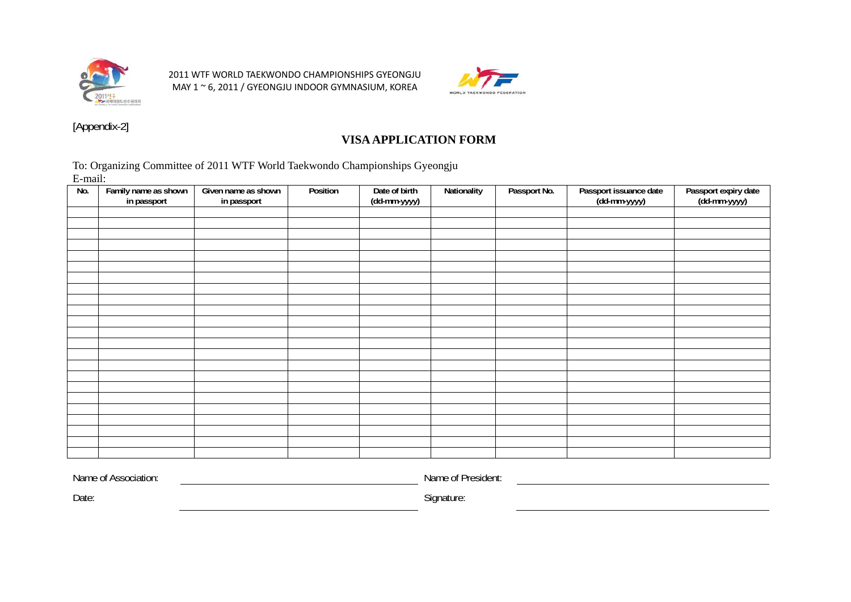



[Appendix-2]

### **VISA APPLICATION FORM**

To: Organizing Committee of 2011 WTF World Taekwondo Championships Gyeongju E-mail:

| No. | Family name as shown<br>in passport | Given name as shown<br>in passport | Position | Date of birth<br>(dd-mm-yyyy) | Nationality | Passport No. | Passport issuance date<br>(dd-mm-yyyy) | Passport expiry date<br>(dd-mm-yyyy) |
|-----|-------------------------------------|------------------------------------|----------|-------------------------------|-------------|--------------|----------------------------------------|--------------------------------------|
|     |                                     |                                    |          |                               |             |              |                                        |                                      |
|     |                                     |                                    |          |                               |             |              |                                        |                                      |
|     |                                     |                                    |          |                               |             |              |                                        |                                      |
|     |                                     |                                    |          |                               |             |              |                                        |                                      |
|     |                                     |                                    |          |                               |             |              |                                        |                                      |
|     |                                     |                                    |          |                               |             |              |                                        |                                      |
|     |                                     |                                    |          |                               |             |              |                                        |                                      |
|     |                                     |                                    |          |                               |             |              |                                        |                                      |
|     |                                     |                                    |          |                               |             |              |                                        |                                      |
|     |                                     |                                    |          |                               |             |              |                                        |                                      |
|     |                                     |                                    |          |                               |             |              |                                        |                                      |
|     |                                     |                                    |          |                               |             |              |                                        |                                      |
|     |                                     |                                    |          |                               |             |              |                                        |                                      |
|     |                                     |                                    |          |                               |             |              |                                        |                                      |
|     |                                     |                                    |          |                               |             |              |                                        |                                      |
|     |                                     |                                    |          |                               |             |              |                                        |                                      |
|     |                                     |                                    |          |                               |             |              |                                        |                                      |
|     |                                     |                                    |          |                               |             |              |                                        |                                      |
|     |                                     |                                    |          |                               |             |              |                                        |                                      |
|     |                                     |                                    |          |                               |             |              |                                        |                                      |
|     |                                     |                                    |          |                               |             |              |                                        |                                      |
|     |                                     |                                    |          |                               |             |              |                                        |                                      |
|     |                                     |                                    |          |                               |             |              |                                        |                                      |

Name of Association:

Name of President:

Date: Signature: Signature: Signature: Signature: Signature: Signature: Signature: Signature: Signature: Signature: Signature: Signature: Signature: Signature: Signature: Signature: Signature: Signature: Signature: Signatu